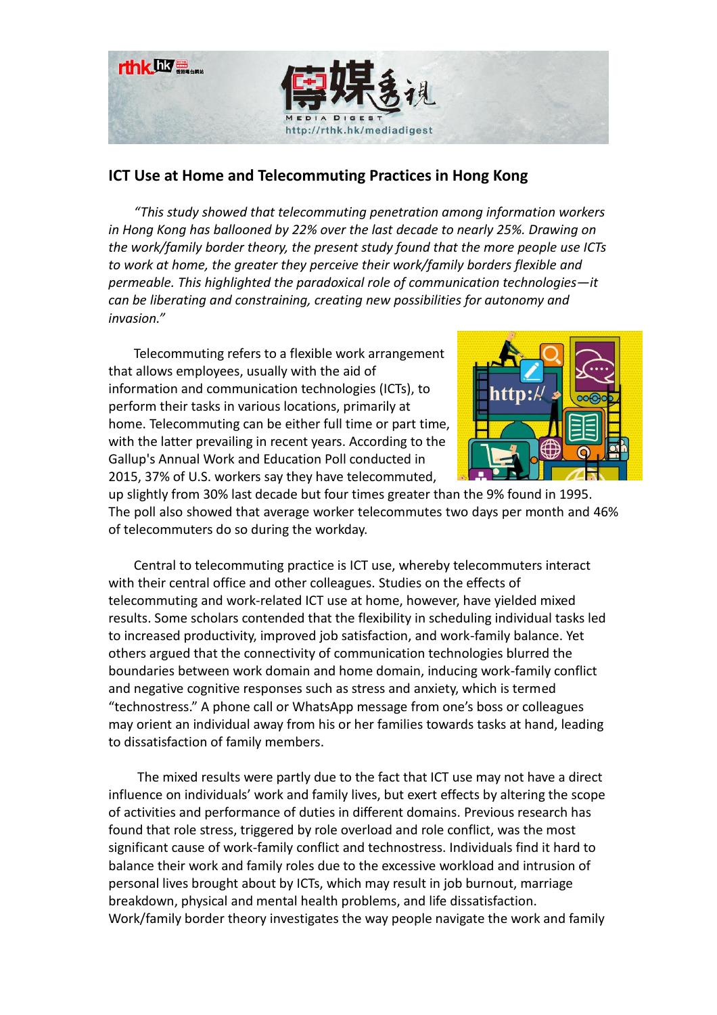

# **ICT Use at Home and Telecommuting Practices in Hong Kong**

*"This study showed that telecommuting penetration among information workers in Hong Kong has ballooned by 22% over the last decade to nearly 25%. Drawing on the work/family border theory, the present study found that the more people use ICTs to work at home, the greater they perceive their work/family borders flexible and permeable. This highlighted the paradoxical role of communication technologies—it can be liberating and constraining, creating new possibilities for autonomy and invasion."*

Telecommuting refers to a flexible work arrangement that allows employees, usually with the aid of information and communication technologies (ICTs), to perform their tasks in various locations, primarily at home. Telecommuting can be either full time or part time, with the latter prevailing in recent years. According to the Gallup's Annual Work and Education Poll conducted in 2015, 37% of U.S. workers say they have telecommuted,



up slightly from 30% last decade but four times greater than the 9% found in 1995. The poll also showed that average worker telecommutes two days per month and 46% of telecommuters do so during the workday.

Central to telecommuting practice is ICT use, whereby telecommuters interact with their central office and other colleagues. Studies on the effects of telecommuting and work-related ICT use at home, however, have yielded mixed results. Some scholars contended that the flexibility in scheduling individual tasks led to increased productivity, improved job satisfaction, and work-family balance. Yet others argued that the connectivity of communication technologies blurred the boundaries between work domain and home domain, inducing work-family conflict and negative cognitive responses such as stress and anxiety, which is termed "technostress." A phone call or WhatsApp message from one's boss or colleagues may orient an individual away from his or her families towards tasks at hand, leading to dissatisfaction of family members.

The mixed results were partly due to the fact that ICT use may not have a direct influence on individuals' work and family lives, but exert effects by altering the scope of activities and performance of duties in different domains. Previous research has found that role stress, triggered by role overload and role conflict, was the most significant cause of work-family conflict and technostress. Individuals find it hard to balance their work and family roles due to the excessive workload and intrusion of personal lives brought about by ICTs, which may result in job burnout, marriage breakdown, physical and mental health problems, and life dissatisfaction. Work/family border theory investigates the way people navigate the work and family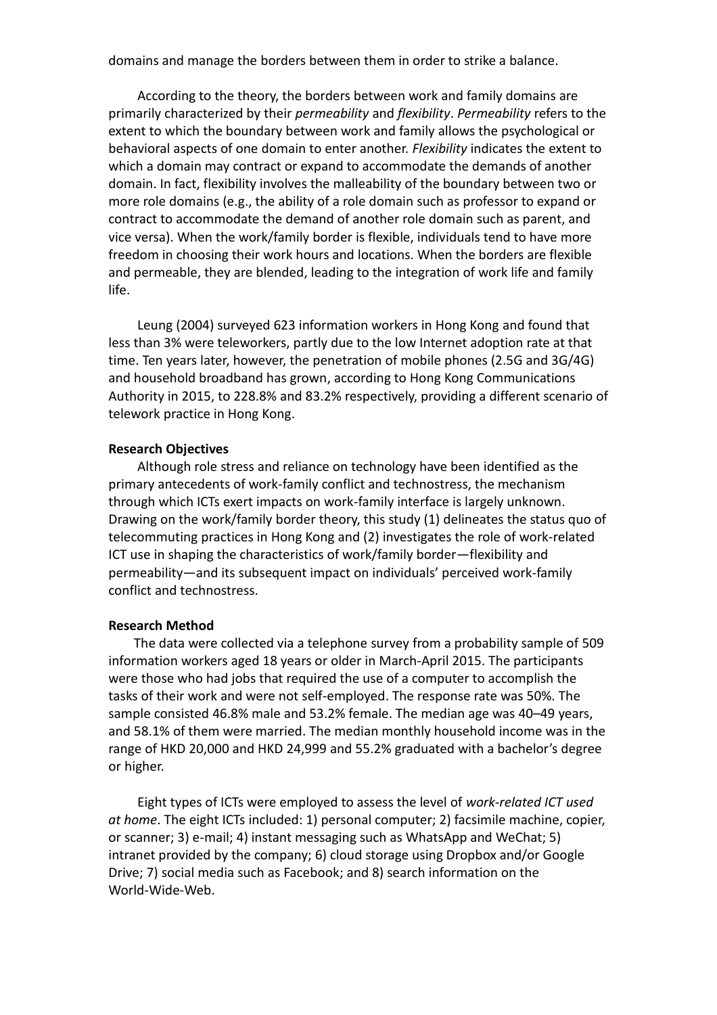domains and manage the borders between them in order to strike a balance.

According to the theory, the borders between work and family domains are primarily characterized by their *permeability* and *flexibility*. *Permeability* refers to the extent to which the boundary between work and family allows the psychological or behavioral aspects of one domain to enter another. *Flexibility* indicates the extent to which a domain may contract or expand to accommodate the demands of another domain. In fact, flexibility involves the malleability of the boundary between two or more role domains (e.g., the ability of a role domain such as professor to expand or contract to accommodate the demand of another role domain such as parent, and vice versa). When the work/family border is flexible, individuals tend to have more freedom in choosing their work hours and locations. When the borders are flexible and permeable, they are blended, leading to the integration of work life and family life.

Leung (2004) surveyed 623 information workers in Hong Kong and found that less than 3% were teleworkers, partly due to the low Internet adoption rate at that time. Ten years later, however, the penetration of mobile phones (2.5G and 3G/4G) and household broadband has grown, according to Hong Kong Communications Authority in 2015, to 228.8% and 83.2% respectively, providing a different scenario of telework practice in Hong Kong.

# **Research Objectives**

Although role stress and reliance on technology have been identified as the primary antecedents of work-family conflict and technostress, the mechanism through which ICTs exert impacts on work-family interface is largely unknown. Drawing on the work/family border theory, this study (1) delineates the status quo of telecommuting practices in Hong Kong and (2) investigates the role of work-related ICT use in shaping the characteristics of work/family border—flexibility and permeability—and its subsequent impact on individuals' perceived work-family conflict and technostress.

# **Research Method**

The data were collected via a telephone survey from a probability sample of 509 information workers aged 18 years or older in March-April 2015. The participants were those who had jobs that required the use of a computer to accomplish the tasks of their work and were not self-employed. The response rate was 50%. The sample consisted 46.8% male and 53.2% female. The median age was 40–49 years, and 58.1% of them were married. The median monthly household income was in the range of HKD 20,000 and HKD 24,999 and 55.2% graduated with a bachelor's degree or higher.

Eight types of ICTs were employed to assess the level of *work-related ICT used at home*. The eight ICTs included: 1) personal computer; 2) facsimile machine, copier, or scanner; 3) e-mail; 4) instant messaging such as WhatsApp and WeChat; 5) intranet provided by the company; 6) cloud storage using Dropbox and/or Google Drive; 7) social media such as Facebook; and 8) search information on the World-Wide-Web.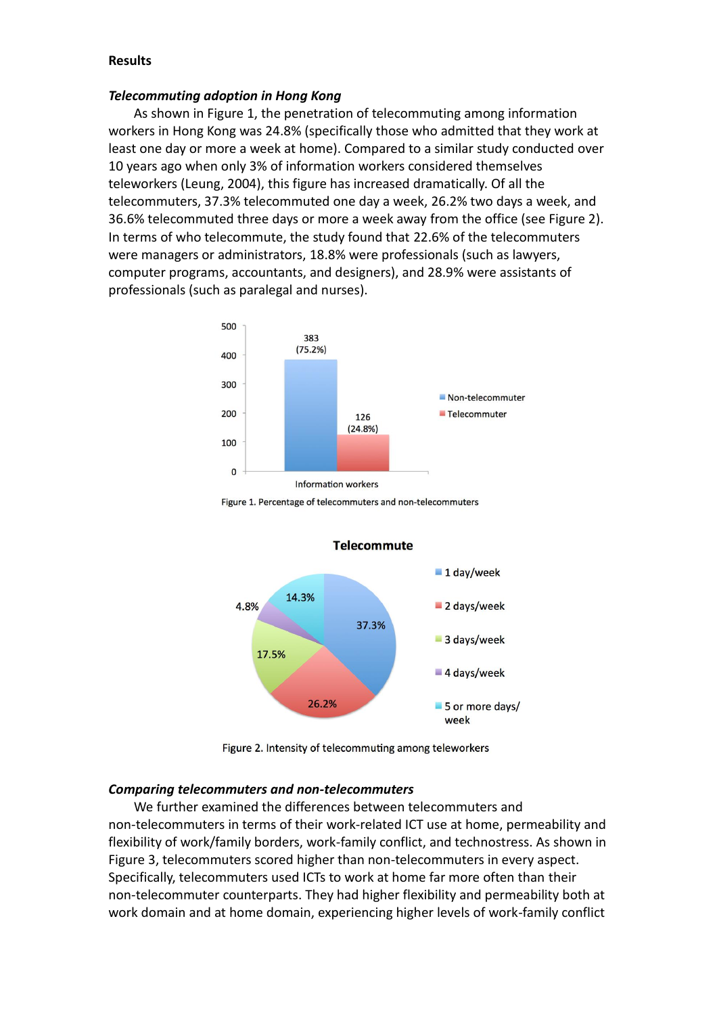# **Results**

# *Telecommuting adoption in Hong Kong*

As shown in Figure 1, the penetration of telecommuting among information workers in Hong Kong was 24.8% (specifically those who admitted that they work at least one day or more a week at home). Compared to a similar study conducted over 10 years ago when only 3% of information workers considered themselves teleworkers (Leung, 2004), this figure has increased dramatically. Of all the telecommuters, 37.3% telecommuted one day a week, 26.2% two days a week, and 36.6% telecommuted three days or more a week away from the office (see Figure 2). In terms of who telecommute, the study found that 22.6% of the telecommuters were managers or administrators, 18.8% were professionals (such as lawyers, computer programs, accountants, and designers), and 28.9% were assistants of professionals (such as paralegal and nurses).



Figure 1. Percentage of telecommuters and non-telecommuters



**Telecommute** 

Figure 2. Intensity of telecommuting among teleworkers

#### *Comparing telecommuters and non-telecommuters*

We further examined the differences between telecommuters and non-telecommuters in terms of their work-related ICT use at home, permeability and flexibility of work/family borders, work-family conflict, and technostress. As shown in Figure 3, telecommuters scored higher than non-telecommuters in every aspect. Specifically, telecommuters used ICTs to work at home far more often than their non-telecommuter counterparts. They had higher flexibility and permeability both at work domain and at home domain, experiencing higher levels of work-family conflict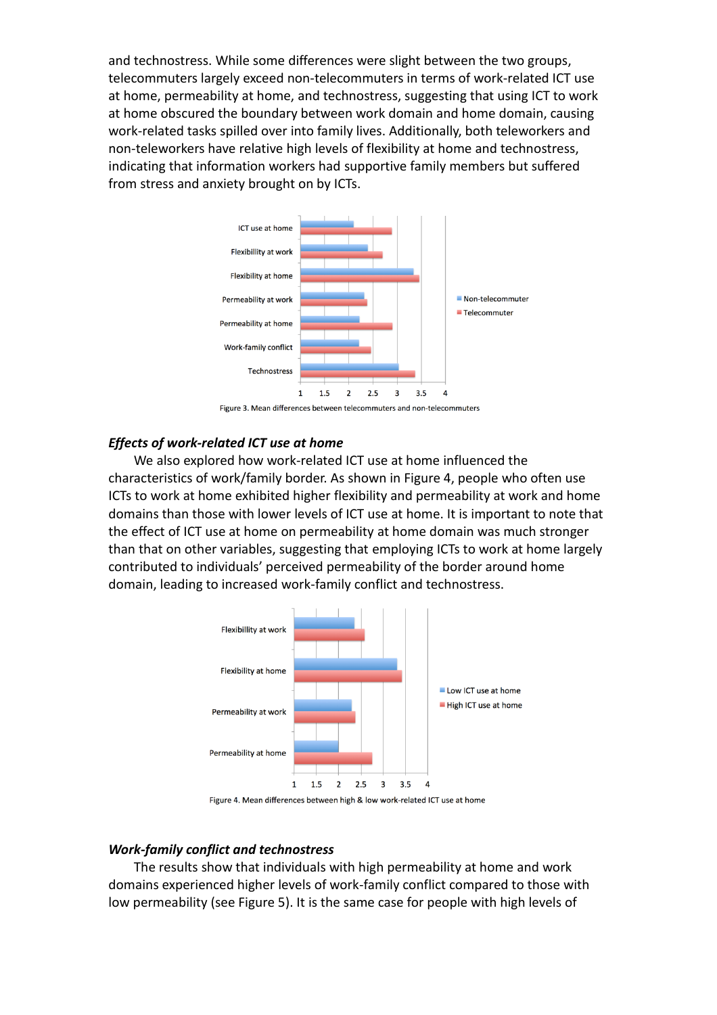and technostress. While some differences were slight between the two groups, telecommuters largely exceed non-telecommuters in terms of work-related ICT use at home, permeability at home, and technostress, suggesting that using ICT to work at home obscured the boundary between work domain and home domain, causing work-related tasks spilled over into family lives. Additionally, both teleworkers and non-teleworkers have relative high levels of flexibility at home and technostress, indicating that information workers had supportive family members but suffered from stress and anxiety brought on by ICTs.



Figure 3. Mean differences between telecommuters and non-telecommuters

# *Effects of work-related ICT use at home*

We also explored how work-related ICT use at home influenced the characteristics of work/family border. As shown in Figure 4, people who often use ICTs to work at home exhibited higher flexibility and permeability at work and home domains than those with lower levels of ICT use at home. It is important to note that the effect of ICT use at home on permeability at home domain was much stronger than that on other variables, suggesting that employing ICTs to work at home largely contributed to individuals' perceived permeability of the border around home domain, leading to increased work-family conflict and technostress.



Figure 4. Mean differences between high & low work-related ICT use at home

# *Work-family conflict and technostress*

The results show that individuals with high permeability at home and work domains experienced higher levels of work-family conflict compared to those with low permeability (see Figure 5). It is the same case for people with high levels of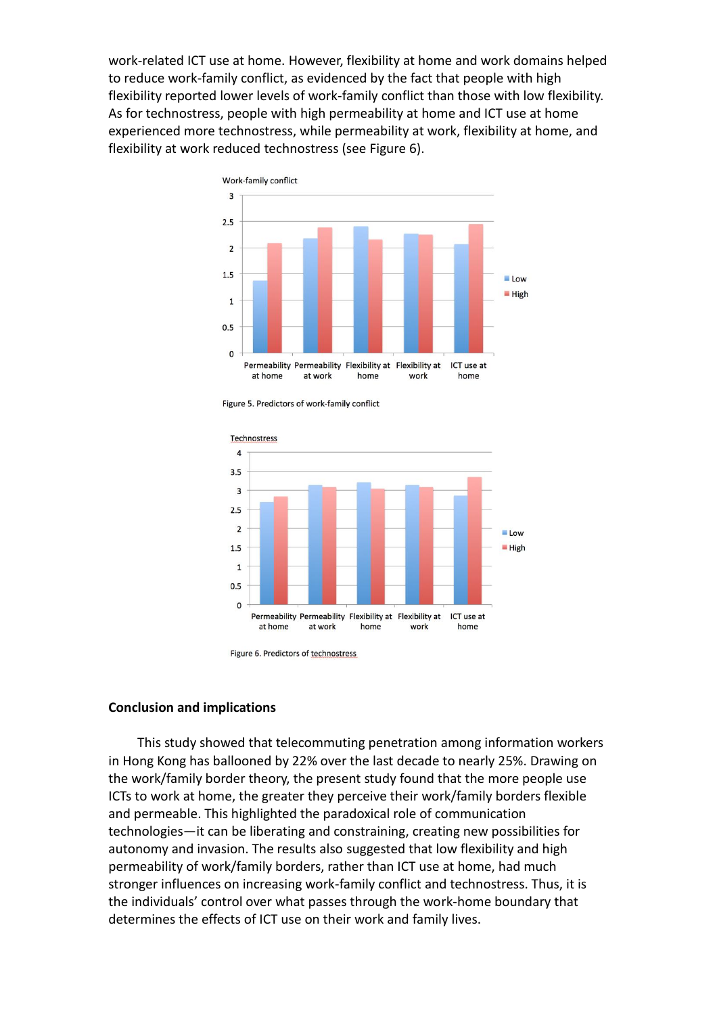work-related ICT use at home. However, flexibility at home and work domains helped to reduce work-family conflict, as evidenced by the fact that people with high flexibility reported lower levels of work-family conflict than those with low flexibility. As for technostress, people with high permeability at home and ICT use at home experienced more technostress, while permeability at work, flexibility at home, and flexibility at work reduced technostress (see Figure 6).



Figure 5. Predictors of work-family conflict



Figure 6. Predictors of technostress

## **Conclusion and implications**

This study showed that telecommuting penetration among information workers in Hong Kong has ballooned by 22% over the last decade to nearly 25%. Drawing on the work/family border theory, the present study found that the more people use ICTs to work at home, the greater they perceive their work/family borders flexible and permeable. This highlighted the paradoxical role of communication technologies—it can be liberating and constraining, creating new possibilities for autonomy and invasion. The results also suggested that low flexibility and high permeability of work/family borders, rather than ICT use at home, had much stronger influences on increasing work-family conflict and technostress. Thus, it is the individuals' control over what passes through the work-home boundary that determines the effects of ICT use on their work and family lives.